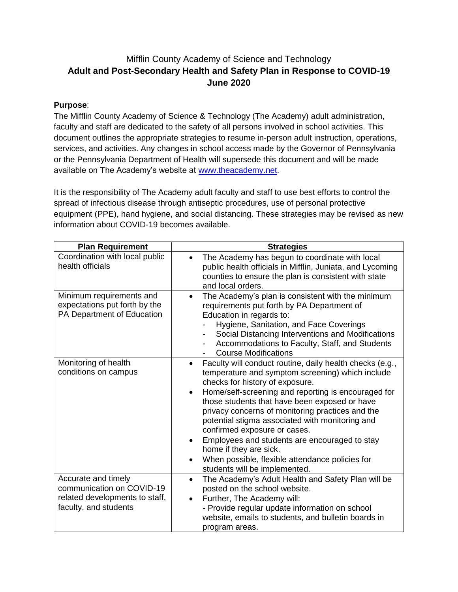# Mifflin County Academy of Science and Technology **Adult and Post-Secondary Health and Safety Plan in Response to COVID-19 June 2020**

# **Purpose**:

The Mifflin County Academy of Science & Technology (The Academy) adult administration, faculty and staff are dedicated to the safety of all persons involved in school activities. This document outlines the appropriate strategies to resume in-person adult instruction, operations, services, and activities. Any changes in school access made by the Governor of Pennsylvania or the Pennsylvania Department of Health will supersede this document and will be made available on The Academy's website at [www.theacademy.net.](http://www.theacademy.net/)

It is the responsibility of The Academy adult faculty and staff to use best efforts to control the spread of infectious disease through antiseptic procedures, use of personal protective equipment (PPE), hand hygiene, and social distancing. These strategies may be revised as new information about COVID-19 becomes available.

| <b>Plan Requirement</b>                                                                                     | <b>Strategies</b>                                                                                                                                                                                                                                                                                                                                                                                                                                                                                                                                                                       |
|-------------------------------------------------------------------------------------------------------------|-----------------------------------------------------------------------------------------------------------------------------------------------------------------------------------------------------------------------------------------------------------------------------------------------------------------------------------------------------------------------------------------------------------------------------------------------------------------------------------------------------------------------------------------------------------------------------------------|
| Coordination with local public<br>health officials                                                          | The Academy has begun to coordinate with local<br>public health officials in Mifflin, Juniata, and Lycoming<br>counties to ensure the plan is consistent with state<br>and local orders.                                                                                                                                                                                                                                                                                                                                                                                                |
| Minimum requirements and<br>expectations put forth by the<br>PA Department of Education                     | The Academy's plan is consistent with the minimum<br>$\bullet$<br>requirements put forth by PA Department of<br>Education in regards to:<br>Hygiene, Sanitation, and Face Coverings<br>Social Distancing Interventions and Modifications<br>Accommodations to Faculty, Staff, and Students<br>-<br><b>Course Modifications</b>                                                                                                                                                                                                                                                          |
| Monitoring of health<br>conditions on campus                                                                | Faculty will conduct routine, daily health checks (e.g.,<br>$\bullet$<br>temperature and symptom screening) which include<br>checks for history of exposure.<br>Home/self-screening and reporting is encouraged for<br>$\bullet$<br>those students that have been exposed or have<br>privacy concerns of monitoring practices and the<br>potential stigma associated with monitoring and<br>confirmed exposure or cases.<br>Employees and students are encouraged to stay<br>home if they are sick.<br>When possible, flexible attendance policies for<br>students will be implemented. |
| Accurate and timely<br>communication on COVID-19<br>related developments to staff,<br>faculty, and students | The Academy's Adult Health and Safety Plan will be<br>$\bullet$<br>posted on the school website.<br>Further, The Academy will:<br>- Provide regular update information on school<br>website, emails to students, and bulletin boards in<br>program areas.                                                                                                                                                                                                                                                                                                                               |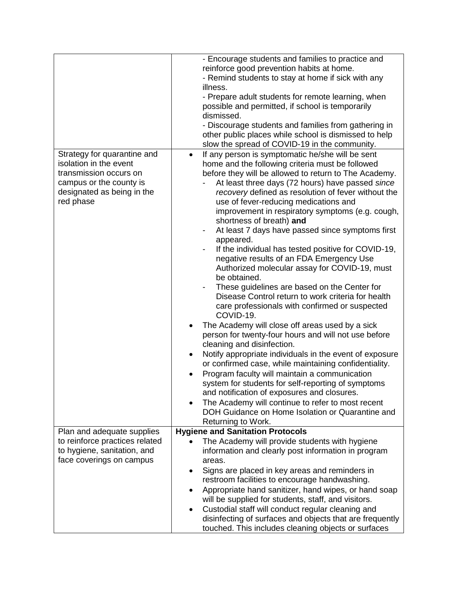|                                                                                                                                                       | - Encourage students and families to practice and<br>reinforce good prevention habits at home.<br>- Remind students to stay at home if sick with any<br>illness.<br>- Prepare adult students for remote learning, when<br>possible and permitted, if school is temporarily<br>dismissed.<br>- Discourage students and families from gathering in<br>other public places while school is dismissed to help<br>slow the spread of COVID-19 in the community.                                                                                                                                                                                                                                                                                                                                                                                                                                                                                                                                                                                                                                                                                                                                                                                                                                                                                                                                                                       |
|-------------------------------------------------------------------------------------------------------------------------------------------------------|----------------------------------------------------------------------------------------------------------------------------------------------------------------------------------------------------------------------------------------------------------------------------------------------------------------------------------------------------------------------------------------------------------------------------------------------------------------------------------------------------------------------------------------------------------------------------------------------------------------------------------------------------------------------------------------------------------------------------------------------------------------------------------------------------------------------------------------------------------------------------------------------------------------------------------------------------------------------------------------------------------------------------------------------------------------------------------------------------------------------------------------------------------------------------------------------------------------------------------------------------------------------------------------------------------------------------------------------------------------------------------------------------------------------------------|
| Strategy for quarantine and<br>isolation in the event<br>transmission occurs on<br>campus or the county is<br>designated as being in the<br>red phase | If any person is symptomatic he/she will be sent<br>$\bullet$<br>home and the following criteria must be followed<br>before they will be allowed to return to The Academy.<br>At least three days (72 hours) have passed since<br>recovery defined as resolution of fever without the<br>use of fever-reducing medications and<br>improvement in respiratory symptoms (e.g. cough,<br>shortness of breath) and<br>At least 7 days have passed since symptoms first<br>$\overline{\phantom{a}}$<br>appeared.<br>If the individual has tested positive for COVID-19,<br>negative results of an FDA Emergency Use<br>Authorized molecular assay for COVID-19, must<br>be obtained.<br>These guidelines are based on the Center for<br>Disease Control return to work criteria for health<br>care professionals with confirmed or suspected<br>COVID-19.<br>The Academy will close off areas used by a sick<br>$\bullet$<br>person for twenty-four hours and will not use before<br>cleaning and disinfection.<br>Notify appropriate individuals in the event of exposure<br>$\bullet$<br>or confirmed case, while maintaining confidentiality.<br>Program faculty will maintain a communication<br>system for students for self-reporting of symptoms<br>and notification of exposures and closures.<br>The Academy will continue to refer to most recent<br>DOH Guidance on Home Isolation or Quarantine and<br>Returning to Work. |
| Plan and adequate supplies                                                                                                                            | <b>Hygiene and Sanitation Protocols</b>                                                                                                                                                                                                                                                                                                                                                                                                                                                                                                                                                                                                                                                                                                                                                                                                                                                                                                                                                                                                                                                                                                                                                                                                                                                                                                                                                                                          |
| to reinforce practices related<br>to hygiene, sanitation, and<br>face coverings on campus                                                             | The Academy will provide students with hygiene<br>information and clearly post information in program<br>areas.<br>Signs are placed in key areas and reminders in<br>restroom facilities to encourage handwashing.<br>Appropriate hand sanitizer, hand wipes, or hand soap<br>$\bullet$<br>will be supplied for students, staff, and visitors.<br>Custodial staff will conduct regular cleaning and<br>$\bullet$<br>disinfecting of surfaces and objects that are frequently<br>touched. This includes cleaning objects or surfaces                                                                                                                                                                                                                                                                                                                                                                                                                                                                                                                                                                                                                                                                                                                                                                                                                                                                                              |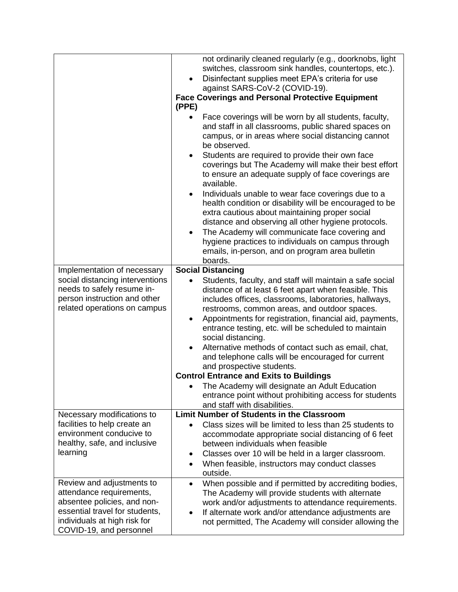|                                                                                                                                                                                   | not ordinarily cleaned regularly (e.g., doorknobs, light<br>switches, classroom sink handles, countertops, etc.).<br>Disinfectant supplies meet EPA's criteria for use<br>against SARS-CoV-2 (COVID-19).<br><b>Face Coverings and Personal Protective Equipment</b><br>(PPE)<br>Face coverings will be worn by all students, faculty,<br>and staff in all classrooms, public shared spaces on<br>campus, or in areas where social distancing cannot<br>be observed.<br>Students are required to provide their own face<br>$\bullet$<br>coverings but The Academy will make their best effort<br>to ensure an adequate supply of face coverings are<br>available.<br>Individuals unable to wear face coverings due to a<br>$\bullet$<br>health condition or disability will be encouraged to be<br>extra cautious about maintaining proper social<br>distance and observing all other hygiene protocols.<br>The Academy will communicate face covering and<br>hygiene practices to individuals on campus through<br>emails, in-person, and on program area bulletin<br>boards. |
|-----------------------------------------------------------------------------------------------------------------------------------------------------------------------------------|-------------------------------------------------------------------------------------------------------------------------------------------------------------------------------------------------------------------------------------------------------------------------------------------------------------------------------------------------------------------------------------------------------------------------------------------------------------------------------------------------------------------------------------------------------------------------------------------------------------------------------------------------------------------------------------------------------------------------------------------------------------------------------------------------------------------------------------------------------------------------------------------------------------------------------------------------------------------------------------------------------------------------------------------------------------------------------|
| Implementation of necessary<br>social distancing interventions<br>needs to safely resume in-<br>person instruction and other<br>related operations on campus                      | <b>Social Distancing</b><br>Students, faculty, and staff will maintain a safe social<br>distance of at least 6 feet apart when feasible. This<br>includes offices, classrooms, laboratories, hallways,<br>restrooms, common areas, and outdoor spaces.<br>Appointments for registration, financial aid, payments,<br>$\bullet$<br>entrance testing, etc. will be scheduled to maintain<br>social distancing.<br>Alternative methods of contact such as email, chat,<br>and telephone calls will be encouraged for current<br>and prospective students.<br><b>Control Entrance and Exits to Buildings</b><br>• The Academy will designate an Adult Education<br>entrance point without prohibiting access for students<br>and staff with disabilities.                                                                                                                                                                                                                                                                                                                         |
| Necessary modifications to<br>facilities to help create an<br>environment conducive to<br>healthy, safe, and inclusive<br>learning                                                | <b>Limit Number of Students in the Classroom</b><br>Class sizes will be limited to less than 25 students to<br>accommodate appropriate social distancing of 6 feet<br>between individuals when feasible<br>Classes over 10 will be held in a larger classroom.<br>٠<br>When feasible, instructors may conduct classes<br>$\bullet$<br>outside.                                                                                                                                                                                                                                                                                                                                                                                                                                                                                                                                                                                                                                                                                                                                |
| Review and adjustments to<br>attendance requirements,<br>absentee policies, and non-<br>essential travel for students,<br>individuals at high risk for<br>COVID-19, and personnel | When possible and if permitted by accrediting bodies,<br>$\bullet$<br>The Academy will provide students with alternate<br>work and/or adjustments to attendance requirements.<br>If alternate work and/or attendance adjustments are<br>not permitted, The Academy will consider allowing the                                                                                                                                                                                                                                                                                                                                                                                                                                                                                                                                                                                                                                                                                                                                                                                 |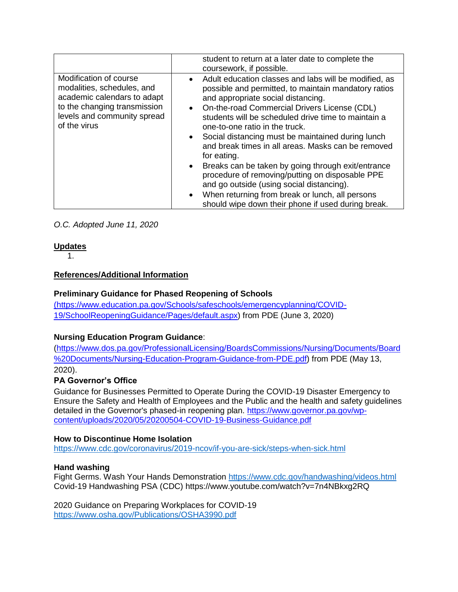|                                                                                                                                                                    | student to return at a later date to complete the<br>coursework, if possible.                                                                                                                                                                                                                                                                                                                                                                                                                                                                                                                                                                                                                                                    |
|--------------------------------------------------------------------------------------------------------------------------------------------------------------------|----------------------------------------------------------------------------------------------------------------------------------------------------------------------------------------------------------------------------------------------------------------------------------------------------------------------------------------------------------------------------------------------------------------------------------------------------------------------------------------------------------------------------------------------------------------------------------------------------------------------------------------------------------------------------------------------------------------------------------|
| Modification of course<br>modalities, schedules, and<br>academic calendars to adapt<br>to the changing transmission<br>levels and community spread<br>of the virus | Adult education classes and labs will be modified, as<br>$\bullet$<br>possible and permitted, to maintain mandatory ratios<br>and appropriate social distancing.<br>• On-the-road Commercial Drivers License (CDL)<br>students will be scheduled drive time to maintain a<br>one-to-one ratio in the truck.<br>Social distancing must be maintained during lunch<br>$\bullet$<br>and break times in all areas. Masks can be removed<br>for eating.<br>• Breaks can be taken by going through exit/entrance<br>procedure of removing/putting on disposable PPE<br>and go outside (using social distancing).<br>When returning from break or lunch, all persons<br>$\bullet$<br>should wipe down their phone if used during break. |

*O.C. Adopted June 11, 2020*

### **Updates**

1.

### **References/Additional Information**

### **Preliminary Guidance for Phased Reopening of Schools**

[\(https://www.education.pa.gov/Schools/safeschools/emergencyplanning/COVID-]((https:/www.education.pa.gov/Schools/safeschools/emergencyplanning/COVID-19/SchoolReopeningGuidance/Pages/default.aspx)[19/SchoolReopeningGuidance/Pages/default.aspx\)]((https:/www.education.pa.gov/Schools/safeschools/emergencyplanning/COVID-19/SchoolReopeningGuidance/Pages/default.aspx) from PDE (June 3, 2020)

# **Nursing Education Program Guidance**:

[\(https://www.dos.pa.gov/ProfessionalLicensing/BoardsCommissions/Nursing/Documents/Board](https://www.dos.pa.gov/ProfessionalLicensing/BoardsCommissions/Nursing/Documents/Board%20Documents/Nursing-Education-Program-Guidance-from-PDE.pdf) [%20Documents/Nursing-Education-Program-Guidance-from-PDE.pdf\)](https://www.dos.pa.gov/ProfessionalLicensing/BoardsCommissions/Nursing/Documents/Board%20Documents/Nursing-Education-Program-Guidance-from-PDE.pdf) from PDE (May 13, 2020).

### **PA Governor's Office**

Guidance for Businesses Permitted to Operate During the COVID-19 Disaster Emergency to Ensure the Safety and Health of Employees and the Public and the health and safety guidelines detailed in the Governor's phased-in reopening plan. [https://www.governor.pa.gov/wp](https://www.governor.pa.gov/wp-content/uploads/2020/05/20200504-COVID-19-Business-Guidance.pdf)[content/uploads/2020/05/20200504-COVID-19-Business-Guidance.pdf](https://www.governor.pa.gov/wp-content/uploads/2020/05/20200504-COVID-19-Business-Guidance.pdf)

### **How to Discontinue Home Isolation**

<https://www.cdc.gov/coronavirus/2019-ncov/if-you-are-sick/steps-when-sick.html>

### **Hand washing**

Fight Germs. Wash Your Hands Demonstration<https://www.cdc.gov/handwashing/videos.html> Covid-19 Handwashing PSA (CDC) https://www.youtube.com/watch?v=7n4NBkxg2RQ

2020 Guidance on Preparing Workplaces for COVID-19 <https://www.osha.gov/Publications/OSHA3990.pdf>